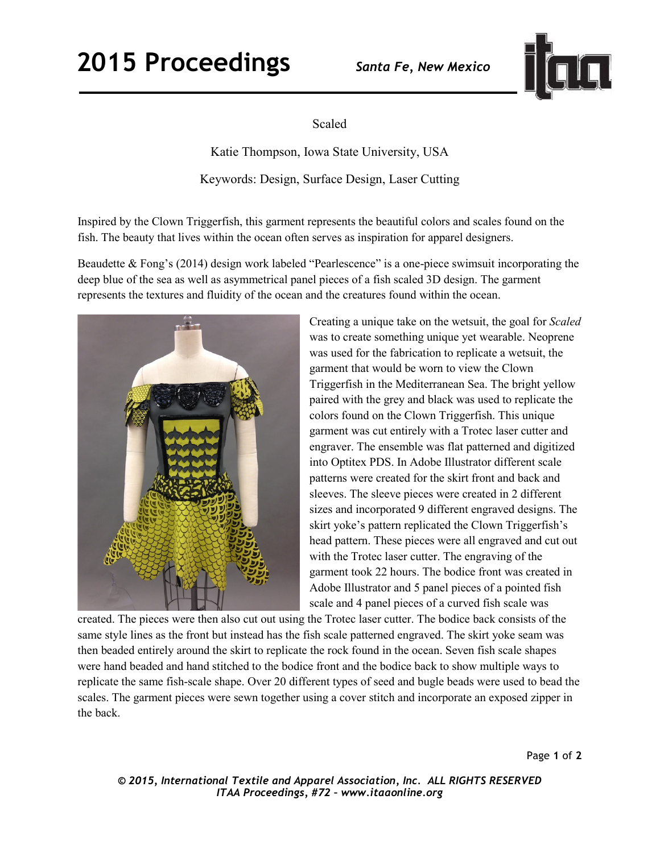## **2015 Proceedings** *Santa Fe, New Mexico*



Scaled

Katie Thompson, Iowa State University, USA Keywords: Design, Surface Design, Laser Cutting

Inspired by the Clown Triggerfish, this garment represents the beautiful colors and scales found on the fish. The beauty that lives within the ocean often serves as inspiration for apparel designers.

Beaudette & Fong's (2014) design work labeled "Pearlescence" is a one-piece swimsuit incorporating the deep blue of the sea as well as asymmetrical panel pieces of a fish scaled 3D design. The garment represents the textures and fluidity of the ocean and the creatures found within the ocean.



Creating a unique take on the wetsuit, the goal for *Scaled* was to create something unique yet wearable. Neoprene was used for the fabrication to replicate a wetsuit, the garment that would be worn to view the Clown Triggerfish in the Mediterranean Sea. The bright yellow paired with the grey and black was used to replicate the colors found on the Clown Triggerfish. This unique garment was cut entirely with a Trotec laser cutter and engraver. The ensemble was flat patterned and digitized into Optitex PDS. In Adobe Illustrator different scale patterns were created for the skirt front and back and sleeves. The sleeve pieces were created in 2 different sizes and incorporated 9 different engraved designs. The skirt yoke's pattern replicated the Clown Triggerfish's head pattern. These pieces were all engraved and cut out with the Trotec laser cutter. The engraving of the garment took 22 hours. The bodice front was created in Adobe Illustrator and 5 panel pieces of a pointed fish scale and 4 panel pieces of a curved fish scale was

created. The pieces were then also cut out using the Trotec laser cutter. The bodice back consists of the same style lines as the front but instead has the fish scale patterned engraved. The skirt yoke seam was then beaded entirely around the skirt to replicate the rock found in the ocean. Seven fish scale shapes were hand beaded and hand stitched to the bodice front and the bodice back to show multiple ways to replicate the same fish-scale shape. Over 20 different types of seed and bugle beads were used to bead the scales. The garment pieces were sewn together using a cover stitch and incorporate an exposed zipper in the back.

Page **1** of **2** 

*© 2015, International Textile and Apparel Association, Inc. ALL RIGHTS RESERVED ITAA Proceedings, #72 – www.itaaonline.org*